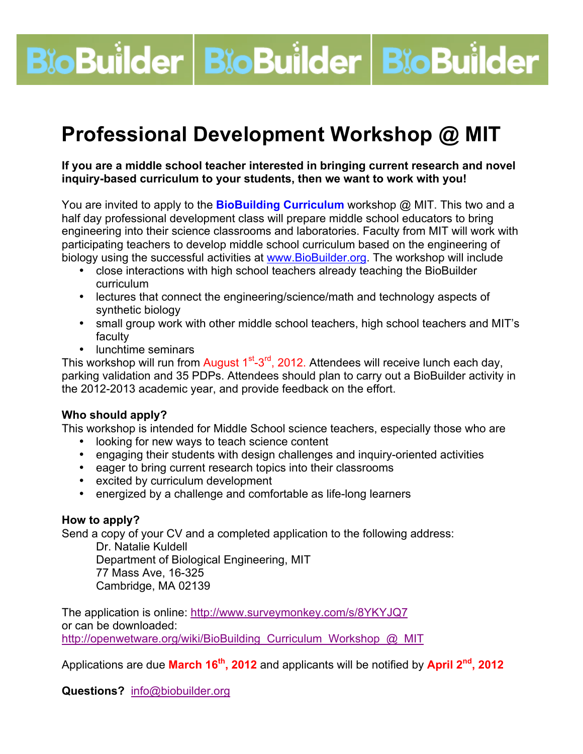# **BioBuilder BioBuilder BioBuilder**

# **Professional Development Workshop @ MIT**

#### **If you are a middle school teacher interested in bringing current research and novel inquiry-based curriculum to your students, then we want to work with you!**

You are invited to apply to the **BioBuilding Curriculum** workshop @ MIT. This two and a half day professional development class will prepare middle school educators to bring engineering into their science classrooms and laboratories. Faculty from MIT will work with participating teachers to develop middle school curriculum based on the engineering of biology using the successful activities at www.BioBuilder.org. The workshop will include

- close interactions with high school teachers already teaching the BioBuilder curriculum
- lectures that connect the engineering/science/math and technology aspects of synthetic biology
- small group work with other middle school teachers, high school teachers and MIT's faculty
- lunchtime seminars

This workshop will run from August  $1<sup>st</sup> - 3<sup>rd</sup>$ , 2012. Attendees will receive lunch each day, parking validation and 35 PDPs. Attendees should plan to carry out a BioBuilder activity in the 2012-2013 academic year, and provide feedback on the effort.

#### **Who should apply?**

This workshop is intended for Middle School science teachers, especially those who are

- looking for new ways to teach science content
- engaging their students with design challenges and inquiry-oriented activities
- eager to bring current research topics into their classrooms
- excited by curriculum development
- energized by a challenge and comfortable as life-long learners

#### **How to apply?**

Send a copy of your CV and a completed application to the following address:

Dr. Natalie Kuldell Department of Biological Engineering, MIT 77 Mass Ave, 16-325 Cambridge, MA 02139

The application is online: http://www.surveymonkey.com/s/8YKYJQ7 or can be downloaded: http://openwetware.org/wiki/BioBuilding\_Curriculum\_Workshop\_@\_MIT

Applications are due **March 16th, 2012** and applicants will be notified by **April 2nd, 2012**

**Questions?** info@biobuilder.org